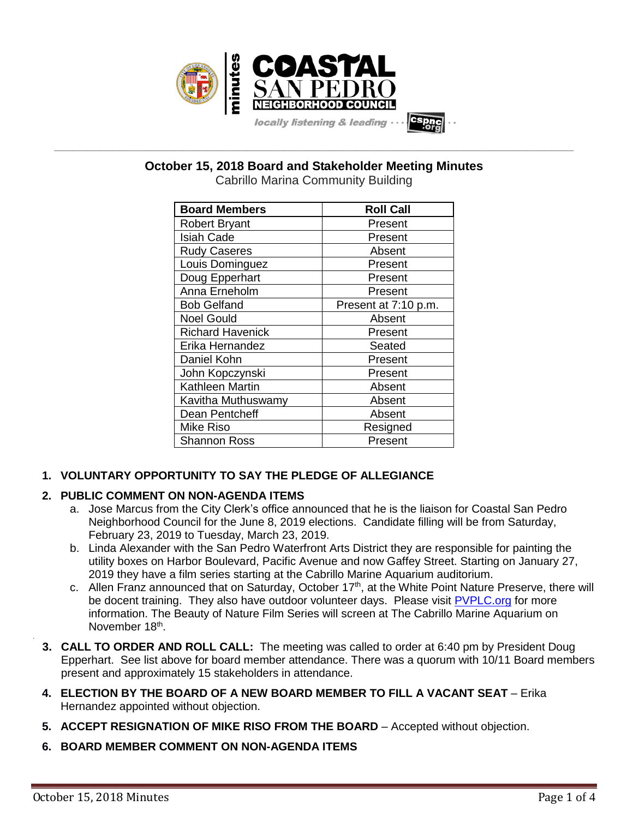

**\_\_\_\_\_\_\_\_\_\_\_\_\_\_\_\_\_\_\_\_\_\_\_\_\_\_\_\_\_\_\_\_\_\_\_\_\_\_\_\_\_\_\_\_\_\_\_\_\_\_\_\_\_\_\_\_\_\_\_\_\_\_\_\_\_\_\_\_\_\_\_\_\_\_\_\_\_\_\_\_\_\_\_\_\_\_\_\_\_\_\_\_\_\_\_\_\_\_\_\_\_\_\_\_\_\_\_\_\_\_\_\_\_ October 15, 2018 Board and Stakeholder Meeting Minutes**

Cabrillo Marina Community Building

| <b>Board Members</b>    | <b>Roll Call</b>     |
|-------------------------|----------------------|
| <b>Robert Bryant</b>    | Present              |
| <b>Isiah Cade</b>       | Present              |
| <b>Rudy Caseres</b>     | Absent               |
| Louis Dominguez         | Present              |
| Doug Epperhart          | Present              |
| Anna Erneholm           | Present              |
| <b>Bob Gelfand</b>      | Present at 7:10 p.m. |
| <b>Noel Gould</b>       | Absent               |
| <b>Richard Havenick</b> | Present              |
| Erika Hernandez         | Seated               |
| Daniel Kohn             | Present              |
| John Kopczynski         | Present              |
| Kathleen Martin         | Absent               |
| Kavitha Muthuswamy      | Absent               |
| Dean Pentcheff          | Absent               |
| Mike Riso               | Resigned             |
| <b>Shannon Ross</b>     | Present              |

# **1. VOLUNTARY OPPORTUNITY TO SAY THE PLEDGE OF ALLEGIANCE**

# **2. PUBLIC COMMENT ON NON-AGENDA ITEMS**

- a. Jose Marcus from the City Clerk's office announced that he is the liaison for Coastal San Pedro Neighborhood Council for the June 8, 2019 elections. Candidate filling will be from Saturday, February 23, 2019 to Tuesday, March 23, 2019.
- b. Linda Alexander with the San Pedro Waterfront Arts District they are responsible for painting the utility boxes on Harbor Boulevard, Pacific Avenue and now Gaffey Street. Starting on January 27, 2019 they have a film series starting at the Cabrillo Marine Aquarium auditorium.
- c. Allen Franz announced that on Saturday, October  $17<sup>th</sup>$ , at the White Point Nature Preserve, there will be docent training. They also have outdoor volunteer days. Please visit [PVPLC.org](https://pvplc.org/) for more information. The Beauty of Nature Film Series will screen at The Cabrillo Marine Aquarium on November 18<sup>th</sup>.
- **3. CALL TO ORDER AND ROLL CALL:** The meeting was called to order at 6:40 pm by President Doug Epperhart. See list above for board member attendance. There was a quorum with 10/11 Board members present and approximately 15 stakeholders in attendance.
- **4. ELECTION BY THE BOARD OF A NEW BOARD MEMBER TO FILL A VACANT SEAT** Erika Hernandez appointed without objection.
- **5. ACCEPT RESIGNATION OF MIKE RISO FROM THE BOARD** Accepted without objection.
- **6. BOARD MEMBER COMMENT ON NON-AGENDA ITEMS**

.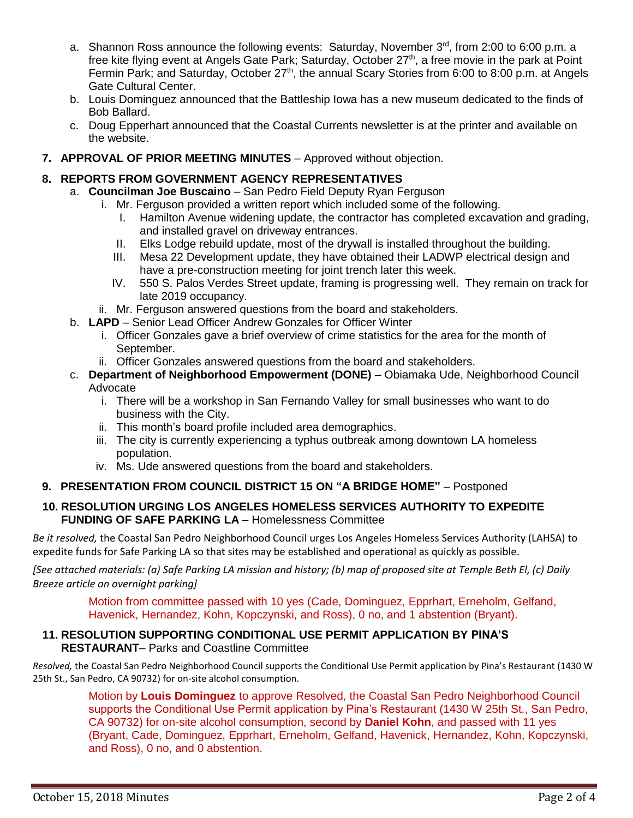- a. Shannon Ross announce the following events: Saturday, November 3<sup>rd</sup>, from 2:00 to 6:00 p.m. a free kite flying event at Angels Gate Park; Saturday, October 27<sup>th</sup>, a free movie in the park at Point Fermin Park; and Saturday, October 27<sup>th</sup>, the annual Scary Stories from 6:00 to 8:00 p.m. at Angels Gate Cultural Center.
- b. Louis Dominguez announced that the Battleship Iowa has a new museum dedicated to the finds of Bob Ballard.
- c. Doug Epperhart announced that the Coastal Currents newsletter is at the printer and available on the website.
- **7. APPROVAL OF PRIOR MEETING MINUTES** Approved without objection.

# **8. REPORTS FROM GOVERNMENT AGENCY REPRESENTATIVES**

- a. **Councilman Joe Buscaino** San Pedro Field Deputy Ryan Ferguson
	- i. Mr. Ferguson provided a written report which included some of the following.
		- I. Hamilton Avenue widening update, the contractor has completed excavation and grading, and installed gravel on driveway entrances.
		- II. Elks Lodge rebuild update, most of the drywall is installed throughout the building.
		- III. Mesa 22 Development update, they have obtained their LADWP electrical design and have a pre-construction meeting for joint trench later this week.
		- IV. 550 S. Palos Verdes Street update, framing is progressing well. They remain on track for late 2019 occupancy.
	- ii. Mr. Ferguson answered questions from the board and stakeholders.
- b. **LAPD** Senior Lead Officer Andrew Gonzales for Officer Winter
	- i. Officer Gonzales gave a brief overview of crime statistics for the area for the month of September.
	- ii. Officer Gonzales answered questions from the board and stakeholders.
- c. **Department of Neighborhood Empowerment (DONE)** Obiamaka Ude, Neighborhood Council Advocate
	- i. There will be a workshop in San Fernando Valley for small businesses who want to do business with the City.
	- ii. This month's board profile included area demographics.
	- iii. The city is currently experiencing a typhus outbreak among downtown LA homeless population.
	- iv. Ms. Ude answered questions from the board and stakeholders.

# **9. PRESENTATION FROM COUNCIL DISTRICT 15 ON "A BRIDGE HOME"** – Postponed

## **10. RESOLUTION URGING LOS ANGELES HOMELESS SERVICES AUTHORITY TO EXPEDITE FUNDING OF SAFE PARKING LA** – Homelessness Committee

*Be it resolved,* the Coastal San Pedro Neighborhood Council urges Los Angeles Homeless Services Authority (LAHSA) to expedite funds for Safe Parking LA so that sites may be established and operational as quickly as possible.

*[See attached materials: (a) Safe Parking LA mission and history; (b) map of proposed site at Temple Beth El, (c) Daily Breeze article on overnight parking]*

> Motion from committee passed with 10 yes (Cade, Dominguez, Epprhart, Erneholm, Gelfand, Havenick, Hernandez, Kohn, Kopczynski, and Ross), 0 no, and 1 abstention (Bryant).

## **11. RESOLUTION SUPPORTING CONDITIONAL USE PERMIT APPLICATION BY PINA'S RESTAURANT**– Parks and Coastline Committee

*Resolved,* the Coastal San Pedro Neighborhood Council supports the Conditional Use Permit application by Pina's Restaurant (1430 W 25th St., San Pedro, CA 90732) for on-site alcohol consumption.

Motion by **Louis Dominguez** to approve Resolved, the Coastal San Pedro Neighborhood Council supports the Conditional Use Permit application by Pina's Restaurant (1430 W 25th St., San Pedro, CA 90732) for on-site alcohol consumption, second by **Daniel Kohn**, and passed with 11 yes (Bryant, Cade, Dominguez, Epprhart, Erneholm, Gelfand, Havenick, Hernandez, Kohn, Kopczynski, and Ross), 0 no, and 0 abstention.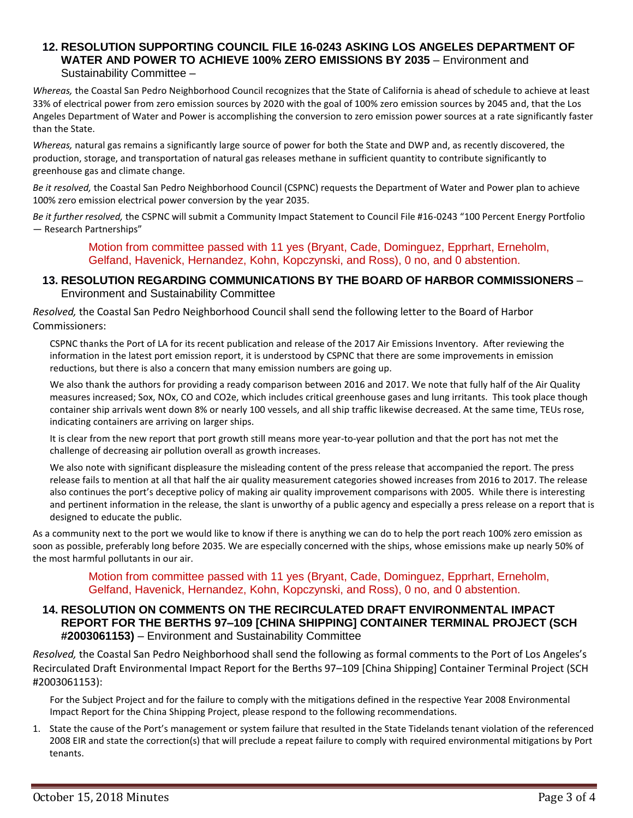## **12. RESOLUTION SUPPORTING COUNCIL FILE 16-0243 ASKING LOS ANGELES DEPARTMENT OF WATER AND POWER TO ACHIEVE 100% ZERO EMISSIONS BY 2035** – Environment and Sustainability Committee –

*Whereas,* the Coastal San Pedro Neighborhood Council recognizes that the State of California is ahead of schedule to achieve at least 33% of electrical power from zero emission sources by 2020 with the goal of 100% zero emission sources by 2045 and, that the Los Angeles Department of Water and Power is accomplishing the conversion to zero emission power sources at a rate significantly faster than the State.

*Whereas,* natural gas remains a significantly large source of power for both the State and DWP and, as recently discovered, the production, storage, and transportation of natural gas releases methane in sufficient quantity to contribute significantly to greenhouse gas and climate change.

*Be it resolved,* the Coastal San Pedro Neighborhood Council (CSPNC) requests the Department of Water and Power plan to achieve 100% zero emission electrical power conversion by the year 2035.

*Be it further resolved,* the CSPNC will submit a Community Impact Statement to Council File #16-0243 "100 Percent Energy Portfolio — Research Partnerships"

> Motion from committee passed with 11 yes (Bryant, Cade, Dominguez, Epprhart, Erneholm, Gelfand, Havenick, Hernandez, Kohn, Kopczynski, and Ross), 0 no, and 0 abstention.

## **13. RESOLUTION REGARDING COMMUNICATIONS BY THE BOARD OF HARBOR COMMISSIONERS** – Environment and Sustainability Committee

*Resolved,* the Coastal San Pedro Neighborhood Council shall send the following letter to the Board of Harbor Commissioners:

CSPNC thanks the Port of LA for its recent publication and release of the 2017 Air Emissions Inventory. After reviewing the information in the latest port emission report, it is understood by CSPNC that there are some improvements in emission reductions, but there is also a concern that many emission numbers are going up.

We also thank the authors for providing a ready comparison between 2016 and 2017. We note that fully half of the Air Quality measures increased; Sox, NOx, CO and CO2e, which includes critical greenhouse gases and lung irritants. This took place though container ship arrivals went down 8% or nearly 100 vessels, and all ship traffic likewise decreased. At the same time, TEUs rose, indicating containers are arriving on larger ships.

It is clear from the new report that port growth still means more year-to-year pollution and that the port has not met the challenge of decreasing air pollution overall as growth increases.

We also note with significant displeasure the misleading content of the press release that accompanied the report. The press release fails to mention at all that half the air quality measurement categories showed increases from 2016 to 2017. The release also continues the port's deceptive policy of making air quality improvement comparisons with 2005. While there is interesting and pertinent information in the release, the slant is unworthy of a public agency and especially a press release on a report that is designed to educate the public.

As a community next to the port we would like to know if there is anything we can do to help the port reach 100% zero emission as soon as possible, preferably long before 2035. We are especially concerned with the ships, whose emissions make up nearly 50% of the most harmful pollutants in our air.

Motion from committee passed with 11 yes (Bryant, Cade, Dominguez, Epprhart, Erneholm, Gelfand, Havenick, Hernandez, Kohn, Kopczynski, and Ross), 0 no, and 0 abstention.

## **14. RESOLUTION ON COMMENTS ON THE RECIRCULATED DRAFT ENVIRONMENTAL IMPACT REPORT FOR THE BERTHS 97–109 [CHINA SHIPPING] CONTAINER TERMINAL PROJECT (SCH #2003061153)** – Environment and Sustainability Committee

*Resolved,* the Coastal San Pedro Neighborhood shall send the following as formal comments to the Port of Los Angeles's Recirculated Draft Environmental Impact Report for the Berths 97–109 [China Shipping] Container Terminal Project (SCH #2003061153):

For the Subject Project and for the failure to comply with the mitigations defined in the respective Year 2008 Environmental Impact Report for the China Shipping Project, please respond to the following recommendations.

1. State the cause of the Port's management or system failure that resulted in the State Tidelands tenant violation of the referenced 2008 EIR and state the correction(s) that will preclude a repeat failure to comply with required environmental mitigations by Port tenants.